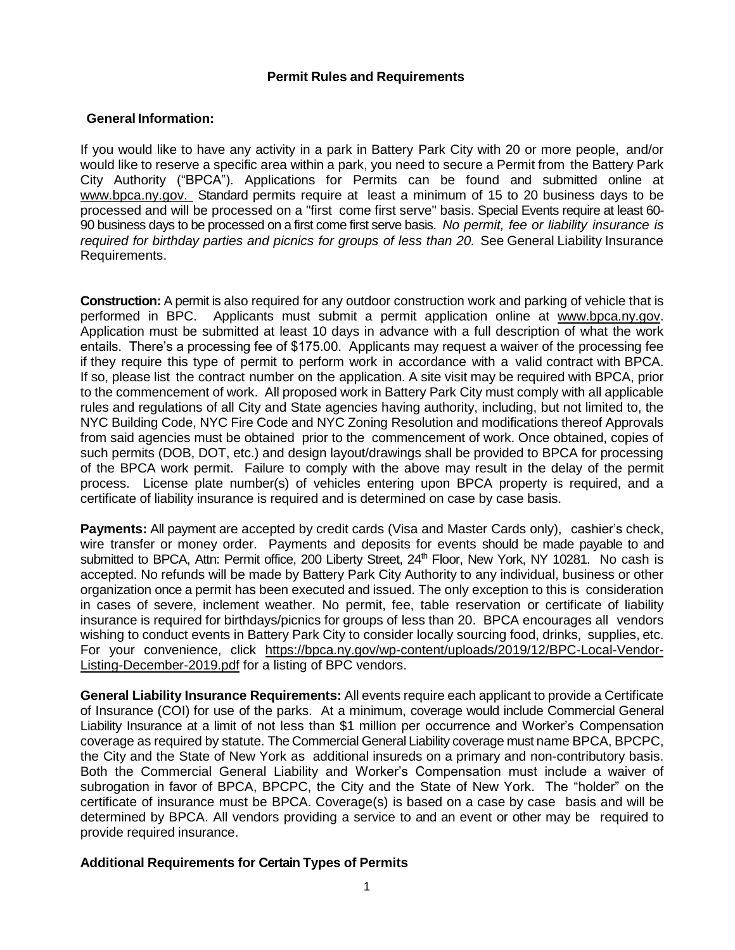## **Permit Rules and Requirements**

## **General Information:**

If you would like to have any activity in a park in Battery Park City with 20 or more people, and/or would like to reserve a specific area within a park, you need to secure a Permit from the Battery Park City Authority ("BPCA"). Applications for Permits can be found and submitted online at www.bpca.ny.gov. Standard permits require at least a minimum of 15 to 20 business days to be processed and will be processed on a "first come first serve" basis. Special Events require at least 60- 90 business days to be processed on a first come first serve basis. *No permit, fee or liability insurance is required for birthday parties and picnics for groups of less than 20.* See General Liability Insurance Requirements.

**Construction:** A permit is also required for any outdoor construction work and parking of vehicle that is performed in BPC. Applicants must submit a permit application online at [www.bpca.ny.gov.](http://www.bpca.ny.gov/) Application must be submitted at least 10 days in advance with a full description of what the work entails. There's a processing fee of \$175.00. Applicants may request a waiver of the processing fee if they require this type of permit to perform work in accordance with a valid contract with BPCA. If so, please list the contract number on the application. A site visit may be required with BPCA, prior to the commencement of work. All proposed work in Battery Park City must comply with all applicable rules and regulations of all City and State agencies having authority, including, but not limited to, the NYC Building Code, NYC Fire Code and NYC Zoning Resolution and modifications thereof Approvals from said agencies must be obtained prior to the commencement of work. Once obtained, copies of such permits (DOB, DOT, etc.) and design layout/drawings shall be provided to BPCA for processing of the BPCA work permit. Failure to comply with the above may result in the delay of the permit process. License plate number(s) of vehicles entering upon BPCA property is required, and a certificate of liability insurance is required and is determined on case by case basis.

**Payments:** All payment are accepted by credit cards (Visa and Master Cards only), cashier's check, wire transfer or money order. Payments and deposits for events should be made payable to and submitted to BPCA, Attn: Permit office, 200 Liberty Street, 24<sup>th</sup> Floor, New York, NY 10281. No cash is accepted. No refunds will be made by Battery Park City Authority to any individual, business or other organization once a permit has been executed and issued. The only exception to this is consideration in cases of severe, inclement weather. No permit, fee, table reservation or certificate of liability insurance is required for birthdays/picnics for groups of less than 20. BPCA encourages all vendors wishing to conduct events in Battery Park City to consider locally sourcing food, drinks, supplies, etc. For your convenience, click [https://bpca.ny.gov/wp-content/uploads/2019/12/BPC-Local-Vendor-](https://bpca.ny.gov/wp-content/uploads/2019/12/BPC-Local-Vendor-Listing-December-2019.pdf)[Listing-December-2019.pdf](https://bpca.ny.gov/wp-content/uploads/2019/12/BPC-Local-Vendor-Listing-December-2019.pdf) for a listing of BPC vendors.

**General Liability Insurance Requirements:** All events require each applicant to provide a Certificate of Insurance (COI) for use of the parks. At a minimum, coverage would include Commercial General Liability Insurance at a limit of not less than \$1 million per occurrence and Worker's Compensation coverage as required by statute. The Commercial General Liability coverage must name BPCA, BPCPC, the City and the State of New York as additional insureds on a primary and non-contributory basis. Both the Commercial General Liability and Worker's Compensation must include a waiver of subrogation in favor of BPCA, BPCPC, the City and the State of New York. The "holder" on the certificate of insurance must be BPCA. Coverage(s) is based on a case by case basis and will be determined by BPCA. All vendors providing a service to and an event or other may be required to provide required insurance.

## **Additional Requirements for Certain Types of Permits**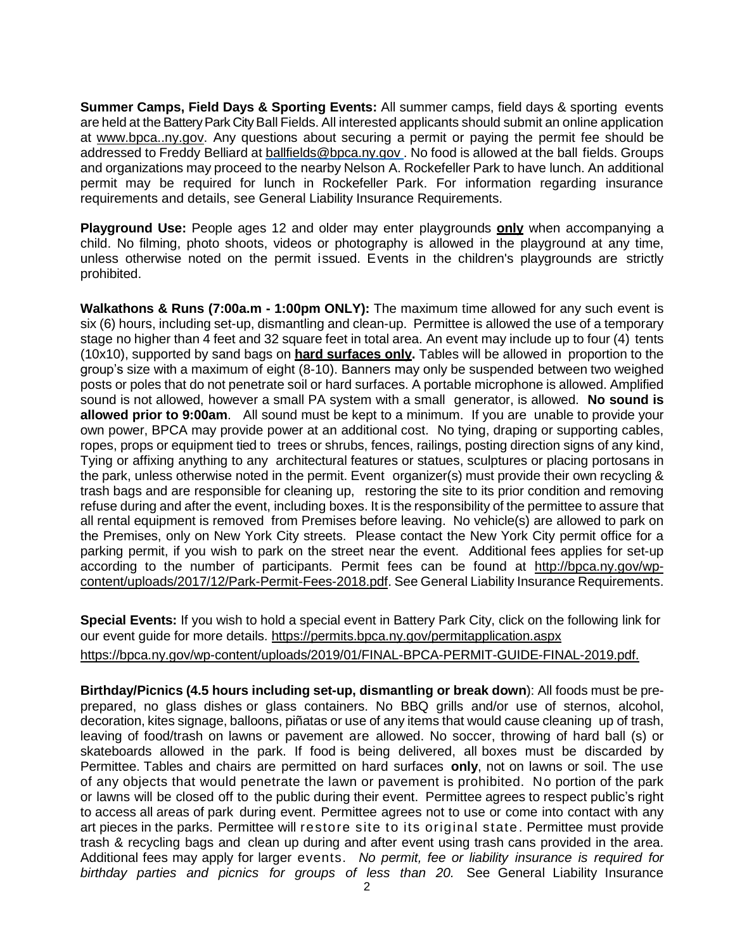**Summer Camps, Field Days & Sporting Events:** All summer camps, field days & sporting events are held at the Battery Park City Ball Fields. All interested applicants should submit an online application at [www.bpca..ny.gov.](http://www.bpca..ny.gov/) Any questions about securing a permit or paying the permit fee should be addressed to Freddy Belliard at [ballfields@bpca.ny.gov](mailto:ballfields@bpca.ny.gov) . No food is allowed at the ball fields. Groups and organizations may proceed to the nearby Nelson A. Rockefeller Park to have lunch. An additional permit may be required for lunch in Rockefeller Park. For information regarding insurance requirements and details, see General Liability Insurance Requirements.

**Playground Use:** People ages 12 and older may enter playgrounds **only** when accompanying a child. No filming, photo shoots, videos or photography is allowed in the playground at any time, unless otherwise noted on the permit issued. Events in the children's playgrounds are strictly prohibited.

**Walkathons & Runs (7:00a.m - 1:00pm ONLY):** The maximum time allowed for any such event is six (6) hours, including set-up, dismantling and clean-up. Permittee is allowed the use of a temporary stage no higher than 4 feet and 32 square feet in total area. An event may include up to four (4) tents (10x10), supported by sand bags on **hard surfaces only.** Tables will be allowed in proportion to the group's size with a maximum of eight (8-10). Banners may only be suspended between two weighed posts or poles that do not penetrate soil or hard surfaces. A portable microphone is allowed. Amplified sound is not allowed, however a small PA system with a small generator, is allowed. **No sound is allowed prior to 9:00am**. All sound must be kept to a minimum. If you are unable to provide your own power, BPCA may provide power at an additional cost. No tying, draping or supporting cables, ropes, props or equipment tied to trees or shrubs, fences, railings, posting direction signs of any kind, Tying or affixing anything to any architectural features or statues, sculptures or placing portosans in the park, unless otherwise noted in the permit. Event organizer(s) must provide their own recycling & trash bags and are responsible for cleaning up, restoring the site to its prior condition and removing refuse during and after the event, including boxes. It is the responsibility of the permittee to assure that all rental equipment is removed from Premises before leaving. No vehicle(s) are allowed to park on the Premises, only on New York City streets. Please contact the New York City permit office for a parking permit, if you wish to park on the street near the event. Additional fees applies for set-up according to the number of participants. Permit fees can be found at [http://bpca.ny.gov/wp](http://bpca.ny.gov/wp-content/uploads/2017/12/Park-Permit-Fees-2018.pdf)[content/uploads/2017/12/Park-Permit-Fees-2018.pdf.](http://bpca.ny.gov/wp-content/uploads/2017/12/Park-Permit-Fees-2018.pdf) See General Liability Insurance Requirements.

**Special Events:** If you wish to hold a special event in Battery Park City, click on the following link for our event guide for more details. <https://permits.bpca.ny.gov/permitapplication.aspx> [https://bpca.ny.gov/wp-content/uploads/2019/01/FINAL-BPCA-PERMIT-GUIDE-FINAL-2019.pdf.](https://bpca.ny.gov/wp-content/uploads/2019/01/FINAL-BPCA-PERMIT-GUIDE-FINAL-2019.pdf)

**Birthday/Picnics (4.5 hours including set-up, dismantling or break down**): All foods must be preprepared, no glass dishes or glass containers. No BBQ grills and/or use of sternos, alcohol, decoration, kites signage, balloons, piñatas or use of any items that would cause cleaning up of trash, leaving of food/trash on lawns or pavement are allowed. No soccer, throwing of hard ball (s) or skateboards allowed in the park. If food is being delivered, all boxes must be discarded by Permittee. Tables and chairs are permitted on hard surfaces **only**, not on lawns or soil. The use of any objects that would penetrate the lawn or pavement is prohibited. No portion of the park or lawns will be closed off to the public during their event. Permittee agrees to respect public's right to access all areas of park during event. Permittee agrees not to use or come into contact with any art pieces in the parks. Permittee will restore site to its original state. Permittee must provide trash & recycling bags and clean up during and after event using trash cans provided in the area. Additional fees may apply for larger events. *No permit, fee or liability insurance is required for birthday parties and picnics for groups of less than 20.* See General Liability Insurance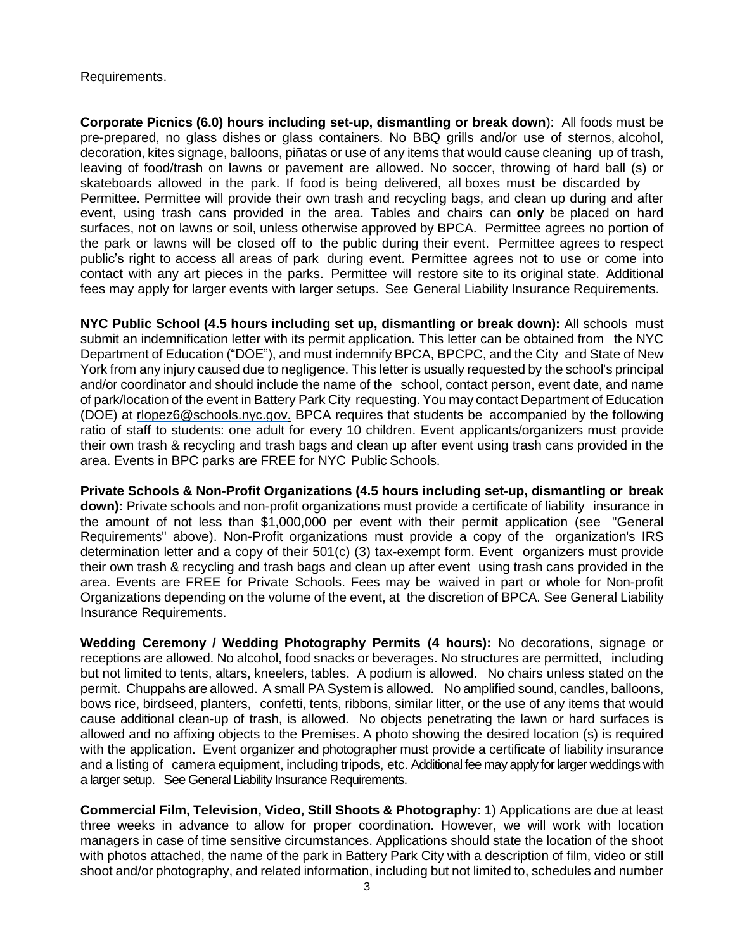Requirements.

**Corporate Picnics (6.0) hours including set-up, dismantling or break down**): All foods must be pre-prepared, no glass dishes or glass containers. No BBQ grills and/or use of sternos, alcohol, decoration, kites signage, balloons, piñatas or use of any items that would cause cleaning up of trash, leaving of food/trash on lawns or pavement are allowed. No soccer, throwing of hard ball (s) or skateboards allowed in the park. If food is being delivered, all boxes must be discarded by Permittee. Permittee will provide their own trash and recycling bags, and clean up during and after event, using trash cans provided in the area. Tables and chairs can **only** be placed on hard surfaces, not on lawns or soil, unless otherwise approved by BPCA. Permittee agrees no portion of the park or lawns will be closed off to the public during their event. Permittee agrees to respect public's right to access all areas of park during event. Permittee agrees not to use or come into contact with any art pieces in the parks. Permittee will restore site to its original state. Additional fees may apply for larger events with larger setups. See General Liability Insurance Requirements.

**NYC Public School (4.5 hours including set up, dismantling or break down):** All schools must submit an indemnification letter with its permit application. This letter can be obtained from the NYC Department of Education ("DOE"), and must indemnify BPCA, BPCPC, and the City and State of New York from any injury caused due to negligence. This letter is usually requested by the school's principal and/or coordinator and should include the name of the school, contact person, event date, and name of park/location of the event in Battery Park City requesting. You may contact Department of Education (DOE) at [rlopez6@schools.nyc.gov.](mailto:rlopez6@schools.nyc.gov.) BPCA requires that students be accompanied by the following ratio of staff to students: one adult for every 10 children. Event applicants/organizers must provide their own trash & recycling and trash bags and clean up after event using trash cans provided in the area. Events in BPC parks are FREE for NYC Public Schools.

**Private Schools & Non-Profit Organizations (4.5 hours including set-up, dismantling or break down):** Private schools and non-profit organizations must provide a certificate of liability insurance in the amount of not less than \$1,000,000 per event with their permit application (see "General Requirements" above). Non-Profit organizations must provide a copy of the organization's IRS determination letter and a copy of their 501(c) (3) tax-exempt form. Event organizers must provide their own trash & recycling and trash bags and clean up after event using trash cans provided in the area. Events are FREE for Private Schools. Fees may be waived in part or whole for Non-profit Organizations depending on the volume of the event, at the discretion of BPCA. See General Liability Insurance Requirements.

**Wedding Ceremony / Wedding Photography Permits (4 hours):** No decorations, signage or receptions are allowed. No alcohol, food snacks or beverages. No structures are permitted, including but not limited to tents, altars, kneelers, tables. A podium is allowed. No chairs unless stated on the permit. Chuppahs are allowed. A small PA System is allowed. No amplified sound, candles, balloons, bows rice, birdseed, planters, confetti, tents, ribbons, similar litter, or the use of any items that would cause additional clean-up of trash, is allowed. No objects penetrating the lawn or hard surfaces is allowed and no affixing objects to the Premises. A photo showing the desired location (s) is required with the application. Event organizer and photographer must provide a certificate of liability insurance and a listing of camera equipment, including tripods, etc. Additional fee may apply for larger weddings with a larger setup. See General Liability Insurance Requirements.

**Commercial Film, Television, Video, Still Shoots & Photography**: 1) Applications are due at least three weeks in advance to allow for proper coordination. However, we will work with location managers in case of time sensitive circumstances. Applications should state the location of the shoot with photos attached, the name of the park in Battery Park City with a description of film, video or still shoot and/or photography, and related information, including but not limited to, schedules and number